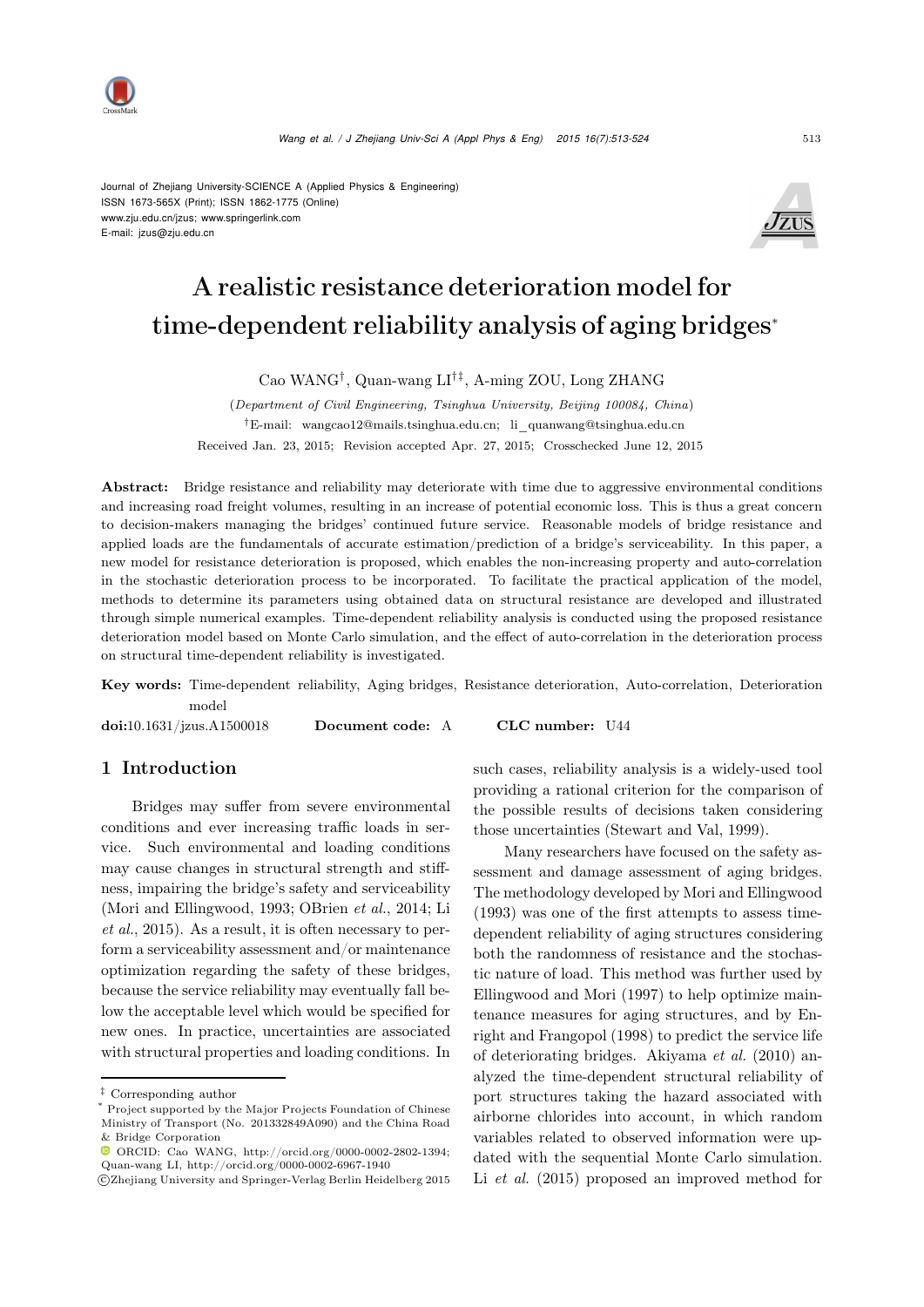

Journal of Zhejiang University-SCIENCE A (Applied Physics & Engineering) ISSN 1673-565X (Print); ISSN 1862-1775 (Online) www.zju.edu.cn/jzus; www.springerlink.com E-mail: jzus@zju.edu.cn



# A realistic resistance deterioration model for time-dependent reliability analysis of aging bridges<sup>∗</sup>

Cao WANG†, Quan-wang LI†‡, A-ming ZOU, Long ZHANG

(*Department of Civil Engineering, Tsinghua University, Beijing 100084, China*) †E-mail: wangcao12@mails.tsinghua.edu.cn; li\_quanwang@tsinghua.edu.cn Received Jan. 23, 2015; Revision accepted Apr. 27, 2015; Crosschecked June 12, 2015

Abstract: Bridge resistance and reliability may deteriorate with time due to aggressive environmental conditions and increasing road freight volumes, resulting in an increase of potential economic loss. This is thus a great concern to decision-makers managing the bridges' continued future service. Reasonable models of bridge resistance and applied loads are the fundamentals of accurate estimation/prediction of a bridge's serviceability. In this paper, a new model for resistance deterioration is proposed, which enables the non-increasing property and auto-correlation in the stochastic deterioration process to be incorporated. To facilitate the practical application of the model, methods to determine its parameters using obtained data on structural resistance are developed and illustrated through simple numerical examples. Time-dependent reliability analysis is conducted using the proposed resistance deterioration model based on Monte Carlo simulation, and the effect of auto-correlation in the deterioration process on structural time-dependent reliability is investigated.

Key words: Time-dependent reliability, Aging bridges, Resistance deterioration, Auto-correlation, Deterioration model

doi:10.1631/jzus.A1500018 Document code: A CLC number: U44

# 1 Introduction

Bridges may suffer from severe environmental conditions and ever increasing traffic loads in service. Such environmental and loading conditions may cause changes in structural strength and stiffness, impairing the bridge's safety and serviceability [\(Mori and Ellingwood](#page-10-0)[,](#page-10-2) [1993](#page-10-0)[;](#page-10-2) [OBrien](#page-10-1) *et al.*, [2014](#page-10-1); Li *et al.*, [2015\)](#page-10-2). As a result, it is often necessary to perform a serviceability assessment and/or maintenance optimization regarding the safety of these bridges, because the service reliability may eventually fall below the acceptable level which would be specified for new ones. In practice, uncertainties are associated with structural properties and loading conditions. In

such cases, reliability analysis is a widely-used tool providing a rational criterion for the comparison of the possible results of decisions taken considering those uncertainties [\(Stewart and Val](#page-10-3), [1999](#page-10-3)).

Many researchers have focused on the safety assessment and damage assessment of aging bridges. The methodology developed by [Mori and Ellingwood](#page-10-0) [\(1993](#page-10-0)) was one of the first attempts to assess timedependent reliability of aging structures considering both the randomness of resistance and the stochastic nature of load. This method was further used by [Ellingwood and Mori](#page-10-4) [\(1997](#page-10-4)) to help optimize maintenance measures f[or](#page-10-5) [aging](#page-10-5) [structures,](#page-10-5) [and](#page-10-5) [by](#page-10-5) Enright and Frangopol [\(1998\)](#page-10-5) to predict the service life of deteriorating bridges. [Akiyama](#page-9-0) *et al.* [\(2010\)](#page-9-0) analyzed the time-dependent structural reliability of port structures taking the hazard associated with airborne chlorides into account, in which random variables related to observed information were updated with the sequential Monte Carlo simulation. Li *[et al.](#page-10-2)* [\(2015\)](#page-10-2) proposed an improved method for

<sup>‡</sup> Corresponding author

Project supported by the Major Projects Foundation of Chinese Ministry of Transport (No. 201332849A090) and the China Road & Bridge Corporation

ORCID: Cao WANG, http://orcid.org/0000-0002-2802-1394; Quan-wang LI, http://orcid.org/0000-0002-6967-1940

c Zhejiang University and Springer-Verlag Berlin Heidelberg 2015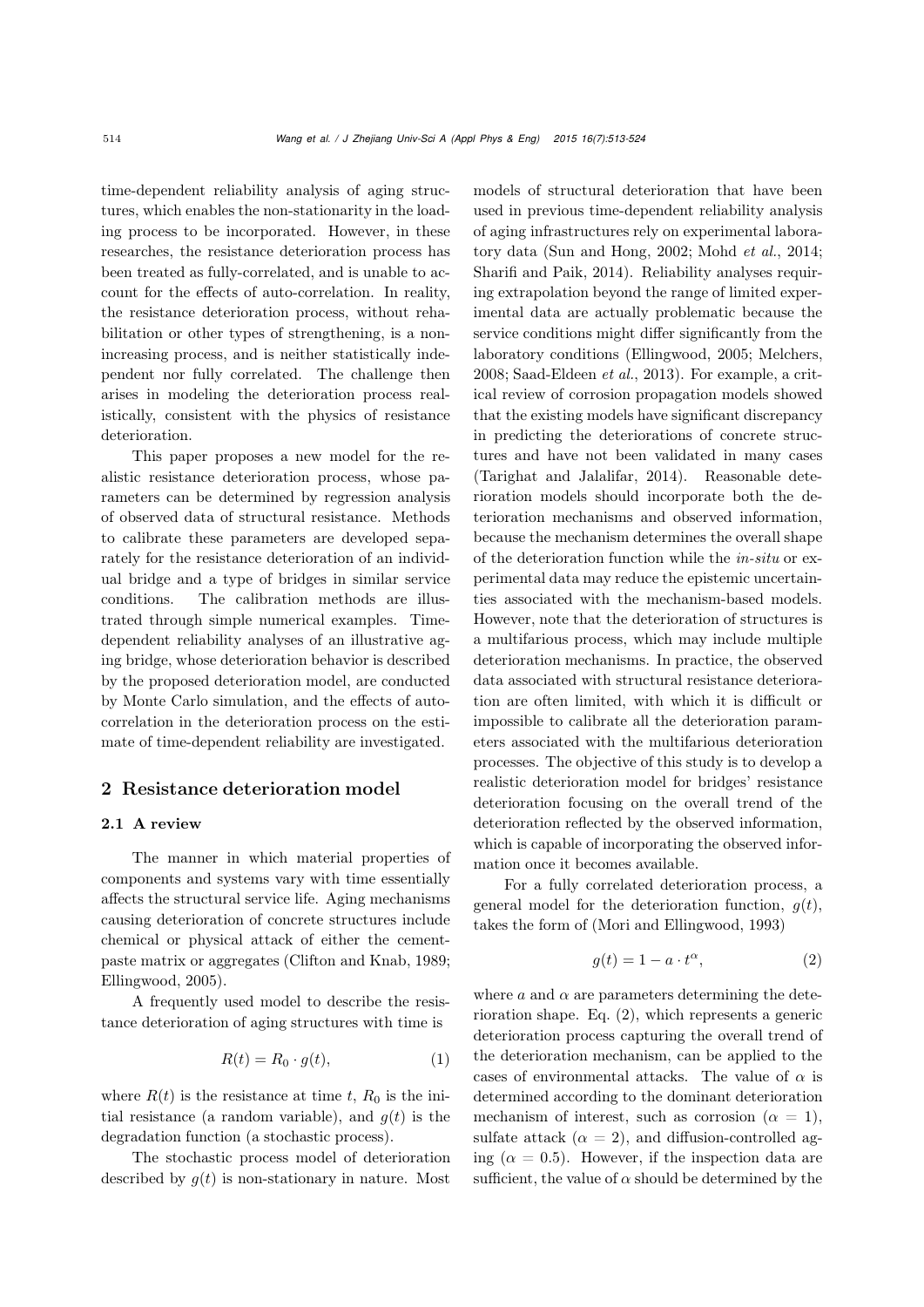time-dependent reliability analysis of aging structures, which enables the non-stationarity in the loading process to be incorporated. However, in these researches, the resistance deterioration process has been treated as fully-correlated, and is unable to account for the effects of auto-correlation. In reality, the resistance deterioration process, without rehabilitation or other types of strengthening, is a nonincreasing process, and is neither statistically independent nor fully correlated. The challenge then arises in modeling the deterioration process realistically, consistent with the physics of resistance deterioration.

This paper proposes a new model for the realistic resistance deterioration process, whose parameters can be determined by regression analysis of observed data of structural resistance. Methods to calibrate these parameters are developed separately for the resistance deterioration of an individual bridge and a type of bridges in similar service conditions. The calibration methods are illustrated through simple numerical examples. Timedependent reliability analyses of an illustrative aging bridge, whose deterioration behavior is described by the proposed deterioration model, are conducted by Monte Carlo simulation, and the effects of autocorrelation in the deterioration process on the estimate of time-dependent reliability are investigated.

### 2 Resistance deterioration model

## 2.1 A review

The manner in which material properties of components and systems vary with time essentially affects the structural service life. Aging mechanisms causing deterioration of concrete structures include chemical or physical attack of either the cementpaste matrix or aggregates [\(Clifton and Knab, 1989;](#page-9-1) [Ellingwood, 2005\)](#page-10-6).

A frequently used model to describe the resistance deterioration of aging structures with time is

<span id="page-1-1"></span>
$$
R(t) = R_0 \cdot g(t),\tag{1}
$$

where  $R(t)$  is the resistance at time t,  $R_0$  is the initial resistance (a random variable), and  $g(t)$  is the degradation function (a stochastic process).

The stochastic process model of deterioration described by  $g(t)$  is non-stationary in nature. Most

models of structural deterioration that have been used in previous time-dependent reliability analysis of aging infrastructures rely on experimental laboratory data [\(Sun and Hong, 2002;](#page-10-7) [Mohd](#page-10-8) *et al.*, [2014;](#page-10-8) [Sharifi and Paik, 2014\)](#page-10-9). Reliability analyses requiring extrapolation beyond the range of limited experimental data are actually problematic because the service conditions might differ significantly from the laboratory conditions [\(Ellingwood](#page-10-6), [2005](#page-10-6); [Melchers](#page-10-10), [2008](#page-10-10); [Saad-Eldeen](#page-10-11) *et al.*, [2013\)](#page-10-11). For example, a critical review of corrosion propagation models showed that the existing models have significant discrepancy in predicting the deteriorations of concrete structures and have not been validated in many cases [\(Tarighat and Jalalifar, 2014\)](#page-10-12). Reasonable deterioration models should incorporate both the deterioration mechanisms and observed information, because the mechanism determines the overall shape of the deterioration function while the *in-situ* or experimental data may reduce the epistemic uncertainties associated with the mechanism-based models. However, note that the deterioration of structures is a multifarious process, which may include multiple deterioration mechanisms. In practice, the observed data associated with structural resistance deterioration are often limited, with which it is difficult or impossible to calibrate all the deterioration parameters associated with the multifarious deterioration processes. The objective of this study is to develop a realistic deterioration model for bridges' resistance deterioration focusing on the overall trend of the deterioration reflected by the observed information, which is capable of incorporating the observed information once it becomes available.

For a fully correlated deterioration process, a general model for the deterioration function,  $g(t)$ , takes the form of [\(Mori and Ellingwood, 1993](#page-10-0))

<span id="page-1-0"></span>
$$
g(t) = 1 - a \cdot t^{\alpha}, \tag{2}
$$

where  $a$  and  $\alpha$  are parameters determining the deterioration shape. Eq. [\(2\)](#page-1-0), which represents a generic deterioration process capturing the overall trend of the deterioration mechanism, can be applied to the cases of environmental attacks. The value of  $\alpha$  is determined according to the dominant deterioration mechanism of interest, such as corrosion ( $\alpha = 1$ ), sulfate attack  $(\alpha = 2)$ , and diffusion-controlled aging ( $\alpha = 0.5$ ). However, if the inspection data are sufficient, the value of  $\alpha$  should be determined by the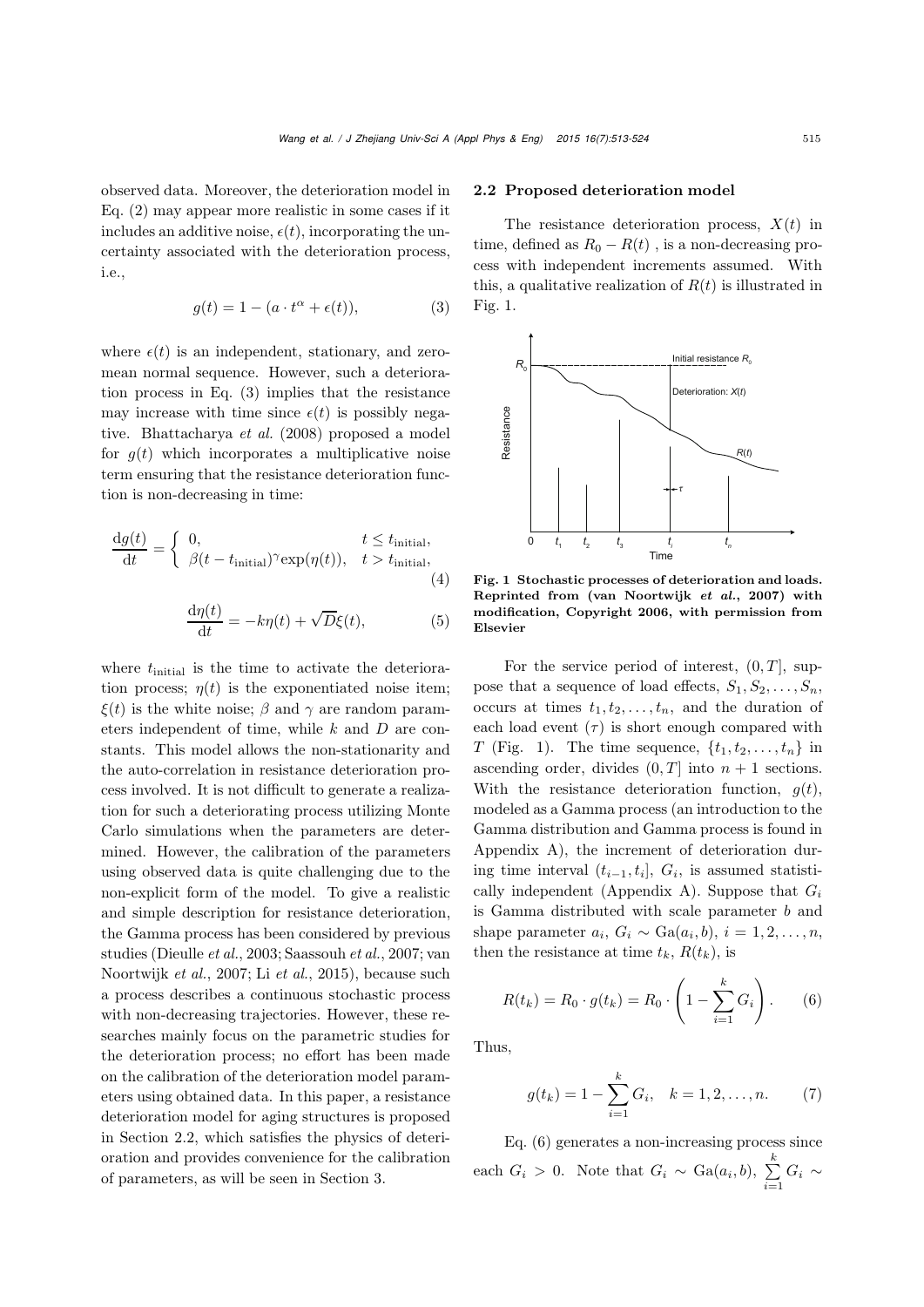observed data. Moreover, the deterioration model in Eq. [\(2\)](#page-1-0) may appear more realistic in some cases if it includes an additive noise,  $\epsilon(t)$ , incorporating the uncertainty associated with the deterioration process, i.e.,

<span id="page-2-0"></span>
$$
g(t) = 1 - (a \cdot t^{\alpha} + \epsilon(t)), \tag{3}
$$

where  $\epsilon(t)$  is an independent, stationary, and zeromean normal sequence. However, such a deterioration process in Eq. [\(3\)](#page-2-0) implies that the resistance may increase with time since  $\epsilon(t)$  is possibly negative. [Bhattacharya](#page-9-2) *et al.* [\(2008](#page-9-2)) proposed a model for  $q(t)$  which incorporates a multiplicative noise term ensuring that the resistance deterioration function is non-decreasing in time:

$$
\frac{\mathrm{d}g(t)}{\mathrm{d}t} = \begin{cases} 0, & t \le t_{\text{initial}},\\ \beta(t - t_{\text{initial}})^\gamma \exp(\eta(t)), & t > t_{\text{initial}}, \end{cases}
$$
\n(4)

$$
\frac{\mathrm{d}\eta(t)}{\mathrm{d}t} = -k\eta(t) + \sqrt{D}\xi(t),\tag{5}
$$

where  $t<sub>initial</sub>$  is the time to activate the deterioration process;  $\eta(t)$  is the exponentiated noise item;  $\xi(t)$  is the white noise;  $\beta$  and  $\gamma$  are random parameters independent of time, while  $k$  and  $D$  are constants. This model allows the non-stationarity and the auto-correlation in resistance deterioration process involved. It is not difficult to generate a realization for such a deteriorating process utilizing Monte Carlo simulations when the parameters are determined. However, the calibration of the parameters using observed data is quite challenging due to the non-explicit form of the model. To give a realistic and simple description for resistance deterioration, the Gamma process has been considered by previous studies [\(Dieulle](#page-10-13) *et al.*[,](#page-10-15) [2003](#page-10-13)[;](#page-10-15) [Saassouh](#page-10-14) *et al.*, [2007](#page-10-14); van Noortwijk *et al.*, [2007](#page-10-15); Li *[et al.](#page-10-2)*, [2015\)](#page-10-2), because such a process describes a continuous stochastic process with non-decreasing trajectories. However, these researches mainly focus on the parametric studies for the deterioration process; no effort has been made on the calibration of the deterioration model parameters using obtained data. In this paper, a resistance deterioration model for aging structures is proposed in Section [2.2,](#page-2-1) which satisfies the physics of deterioration and provides convenience for the calibration of parameters, as will be seen in Section [3.](#page-3-0)

#### <span id="page-2-1"></span>2.2 Proposed deterioration model

The resistance deterioration process,  $X(t)$  in time, defined as  $R_0 - R(t)$ , is a non-decreasing process with independent increments assumed. With this, a qualitative realization of  $R(t)$  is illustrated in Fig. [1.](#page-2-2)



<span id="page-2-2"></span>Fig. 1 Stochastic processes of deterioration and loads. Reprinted from [\(van Noortwijk](#page-10-15) *et al.*, [2007](#page-10-15)) with modification, Copyright 2006, with permission from Elsevier

For the service period of interest,  $(0, T]$ , suppose that a sequence of load effects,  $S_1, S_2, \ldots, S_n$ , occurs at times  $t_1, t_2, \ldots, t_n$ , and the duration of each load event  $(\tau)$  is short enough compared with T (Fig. 1). The time sequence,  $\{t_1, t_2, \ldots, t_n\}$  in ascending order, divides  $(0, T]$  into  $n + 1$  sections. With the resistance deterioration function,  $g(t)$ , modeled as a Gamma process (an introduction to the Gamma distribution and Gamma process is found in [Appendix A\)](#page-11-0), the increment of deterioration during time interval  $(t_{i-1}, t_i], G_i$ , is assumed statisti-cally independent [\(Appendix A\)](#page-11-0). Suppose that  $G_i$ is Gamma distributed with scale parameter b and shape parameter  $a_i, G_i \sim \text{Ga}(a_i, b), i = 1, 2, \ldots, n$ , then the resistance at time  $t_k$ ,  $R(t_k)$ , is

<span id="page-2-3"></span>
$$
R(t_k) = R_0 \cdot g(t_k) = R_0 \cdot \left(1 - \sum_{i=1}^{k} G_i\right). \tag{6}
$$

Thus,

<span id="page-2-4"></span>
$$
g(t_k) = 1 - \sum_{i=1}^{k} G_i, \quad k = 1, 2, \dots, n.
$$
 (7)

Eq. [\(6\)](#page-2-3) generates a non-increasing process since each  $G_i > 0$ . Note that  $G_i \sim \text{Ga}(a_i, b)$ ,  $\sum_{i=1}^{k}$  $\sum\limits_{i=1} G_i \sim$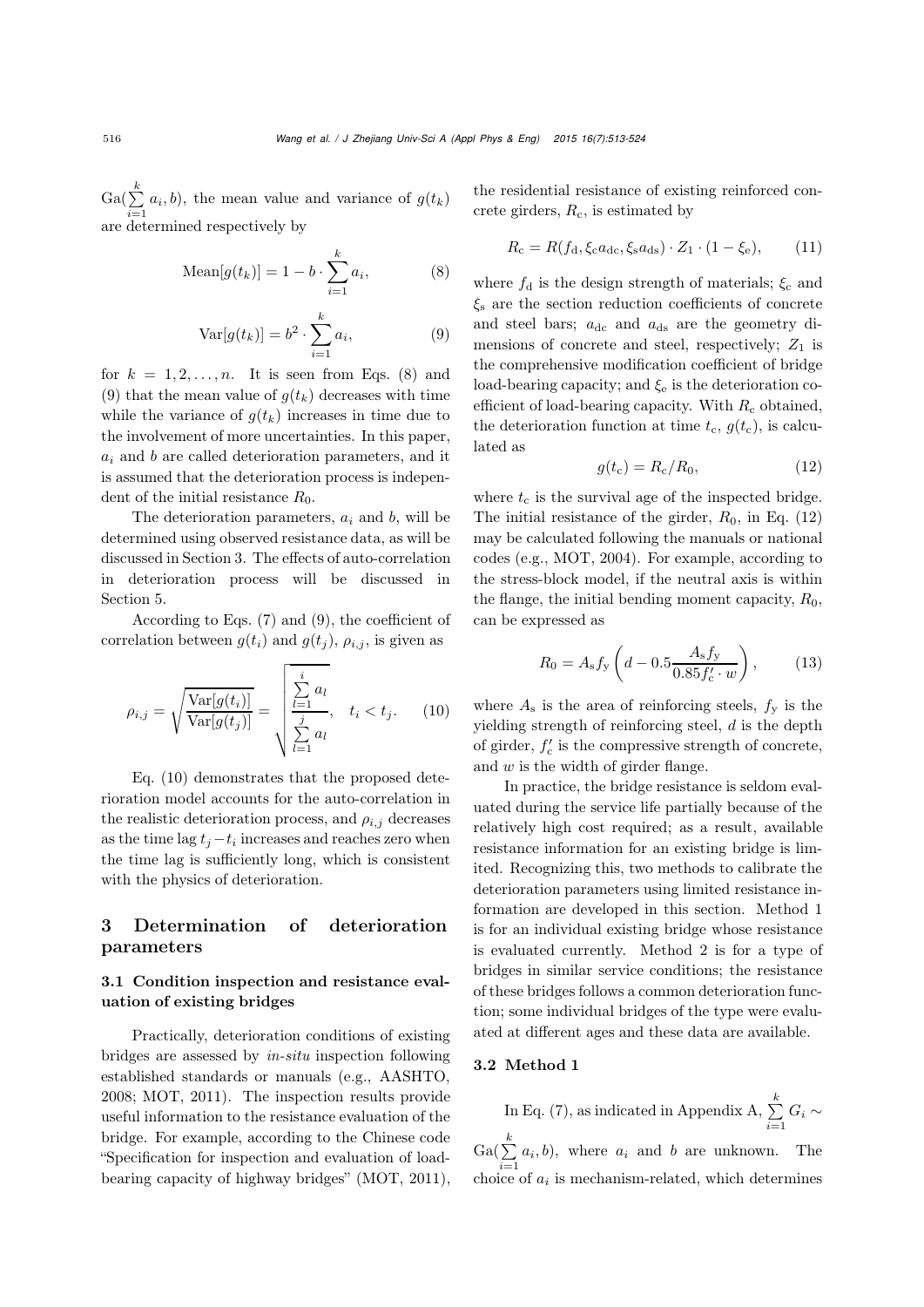$\operatorname{Ga}(\sum\limits_{k=1}^{k}$  $\sum_{i=1}^{n} a_i, b$ , the mean value and variance of  $g(t_k)$ are determined respectively by

<span id="page-3-1"></span>Mean
$$
[g(t_k)] = 1 - b \cdot \sum_{i=1}^{k} a_i,
$$
 (8)

<span id="page-3-2"></span>
$$
\text{Var}[g(t_k)] = b^2 \cdot \sum_{i=1}^k a_i,\tag{9}
$$

for  $k = 1, 2, \ldots, n$ . It is seen from Eqs. [\(8\)](#page-3-1) and [\(9\)](#page-3-2) that the mean value of  $g(t_k)$  decreases with time while the variance of  $g(t_k)$  increases in time due to the involvement of more uncertainties. In this paper,  $a_i$  and b are called deterioration parameters, and it is assumed that the deterioration process is independent of the initial resistance  $R_0$ .

The deterioration parameters,  $a_i$  and b, will be determined using observed resistance data, as will be discussed in Section [3.](#page-3-0) The effects of auto-correlation in deterioration process will be discussed in Section [5.](#page-6-0)

According to Eqs. [\(7\)](#page-2-4) and [\(9\)](#page-3-2), the coefficient of correlation between  $g(t_i)$  and  $g(t_j)$ ,  $\rho_{i,j}$ , is given as

<span id="page-3-3"></span>
$$
\rho_{i,j} = \sqrt{\frac{\text{Var}[g(t_i)]}{\text{Var}[g(t_j)]}} = \sqrt{\frac{\sum_{l=1}^{i} a_l}{\sum_{l=1}^{j} a_l}}, \quad t_i < t_j. \tag{10}
$$

Eq. [\(10\)](#page-3-3) demonstrates that the proposed deterioration model accounts for the auto-correlation in the realistic deterioration process, and  $\rho_{i,j}$  decreases as the time lag  $t_i-t_i$  increases and reaches zero when the time lag is sufficiently long, which is consistent with the physics of deterioration.

# <span id="page-3-0"></span>3 Determination of deterioration parameters

## 3.1 Condition inspection and resistance evaluation of existing bridges

Practically, deterioration conditions of existing bridges are assessed by *in-situ* inspection following established standards or manuals (e.g., [AASHTO](#page-9-3), [2008](#page-9-3); [MOT, 2011\)](#page-10-16). The inspection results provide useful information to the resistance evaluation of the bridge. For example, according to the Chinese code "Specification for inspection and evaluation of loadbearing capacity of highway bridges" [\(MOT](#page-10-16), [2011\)](#page-10-16),

the residential resistance of existing reinforced concrete girders,  $R_c$ , is estimated by

$$
R_{\rm c} = R(f_{\rm d}, \xi_{\rm c} a_{\rm dc}, \xi_{\rm s} a_{\rm ds}) \cdot Z_1 \cdot (1 - \xi_{\rm e}), \qquad (11)
$$

where  $f_d$  is the design strength of materials;  $\xi_c$  and  $\xi$  are the section reduction coefficients of concrete and steel bars;  $a_{\text{dc}}$  and  $a_{\text{ds}}$  are the geometry dimensions of concrete and steel, respectively;  $Z_1$  is the comprehensive modification coefficient of bridge load-bearing capacity; and  $\xi_e$  is the deterioration coefficient of load-bearing capacity. With  $R_c$  obtained, the deterioration function at time  $t_c$ ,  $g(t_c)$ , is calculated as

<span id="page-3-4"></span>
$$
g(t_{\rm c}) = R_{\rm c}/R_0,\tag{12}
$$

where  $t_c$  is the survival age of the inspected bridge. The initial resistance of the girder,  $R_0$ , in Eq. [\(12\)](#page-3-4) may be calculated following the manuals or national codes (e.g., [MOT, 2004\)](#page-10-17). For example, according to the stress-block model, if the neutral axis is within the flange, the initial bending moment capacity,  $R_0$ , can be expressed as

$$
R_0 = A_s f_y \left( d - 0.5 \frac{A_s f_y}{0.85 f_c' \cdot w} \right), \quad (13)
$$

where  $A_s$  is the area of reinforcing steels,  $f_v$  is the yielding strength of reinforcing steel, d is the depth of girder,  $f_c'$  is the compressive strength of concrete, and  $w$  is the width of girder flange.

In practice, the bridge resistance is seldom evaluated during the service life partially because of the relatively high cost required; as a result, available resistance information for an existing bridge is limited. Recognizing this, two methods to calibrate the deterioration parameters using limited resistance information are developed in this section. Method 1 is for an individual existing bridge whose resistance is evaluated currently. Method 2 is for a type of bridges in similar service conditions; the resistance of these bridges follows a common deterioration function; some individual bridges of the type were evaluated at different ages and these data are available.

#### 3.2 Method 1

In Eq. [\(7\)](#page-2-4), as indicated in [Appendix A,](#page-11-0)  $\sum_{k=1}^{k}$  $\sum_{i=1} G_i \sim$  $\operatorname{Ga}(\sum\limits_{k=1}^{k}$  $\sum_{i=1}^{n} a_i, b$ , where  $a_i$  and b are unknown. The choice of  $a_i$  is mechanism-related, which determines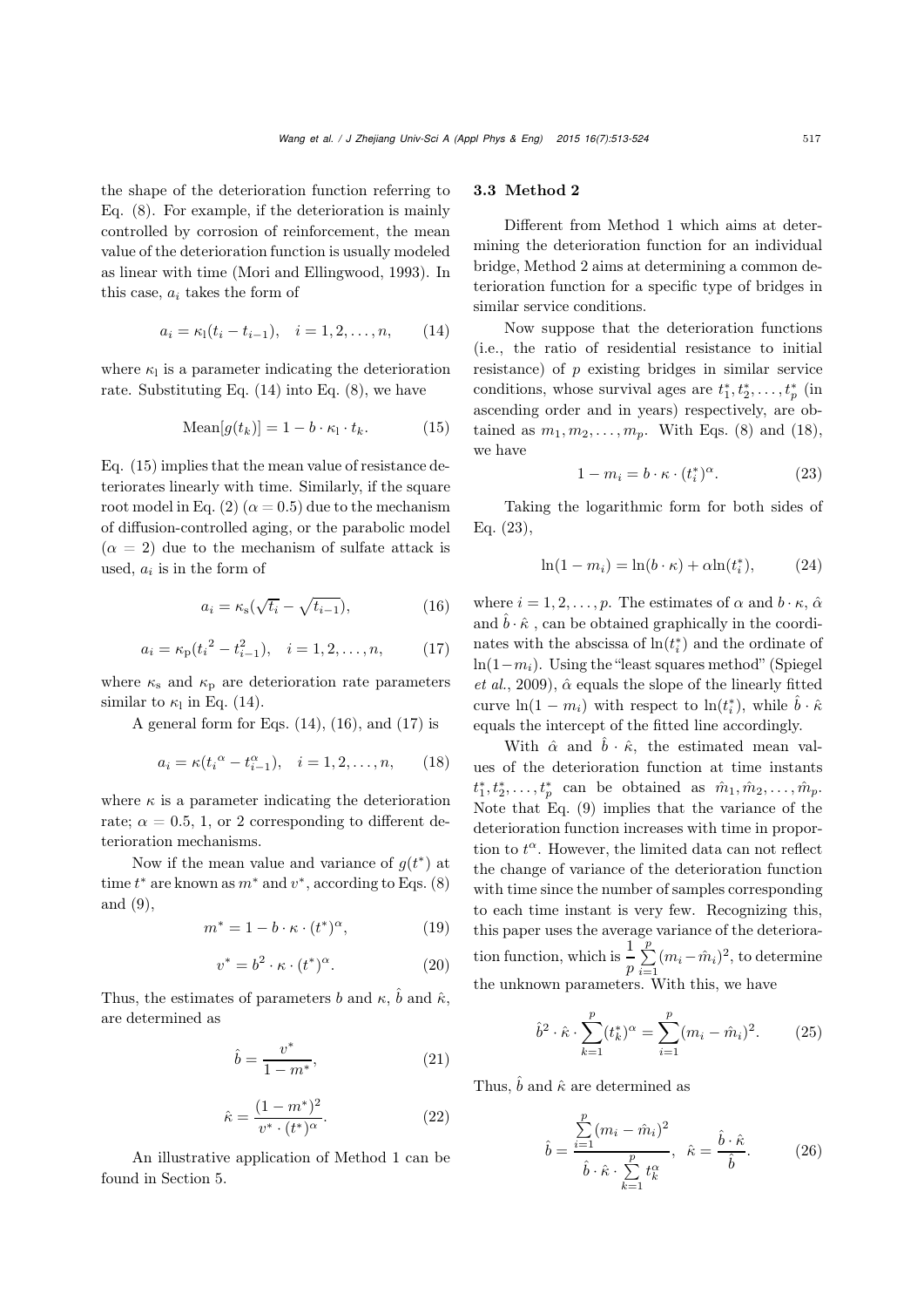the shape of the deterioration function referring to Eq. [\(8\)](#page-3-1). For example, if the deterioration is mainly controlled by corrosion of reinforcement, the mean value of the deterioration function is usually modeled as linear with time [\(Mori and Ellingwood, 1993](#page-10-0)). In this case,  $a_i$  takes the form of

<span id="page-4-0"></span>
$$
a_i = \kappa_1(t_i - t_{i-1}), \quad i = 1, 2, \dots, n,
$$
 (14)

where  $\kappa_1$  is a parameter indicating the deterioration rate. Substituting Eq.  $(14)$  into Eq.  $(8)$ , we have

<span id="page-4-1"></span>
$$
\text{Mean}[g(t_k)] = 1 - b \cdot \kappa_1 \cdot t_k. \tag{15}
$$

Eq. [\(15\)](#page-4-1) implies that the mean value of resistance deteriorates linearly with time. Similarly, if the square root model in Eq. [\(2\)](#page-1-0) ( $\alpha = 0.5$ ) due to the mechanism of diffusion-controlled aging, or the parabolic model  $(\alpha = 2)$  due to the mechanism of sulfate attack is used,  $a_i$  is in the form of

<span id="page-4-2"></span>
$$
a_i = \kappa_{\rm s}(\sqrt{t_i} - \sqrt{t_{i-1}}),\tag{16}
$$

<span id="page-4-3"></span>
$$
a_i = \kappa_p (t_i^2 - t_{i-1}^2), \quad i = 1, 2, \dots, n,
$$
 (17)

where  $\kappa_{\rm s}$  and  $\kappa_{\rm p}$  are deterioration rate parameters similar to  $\kappa_1$  in Eq. [\(14\)](#page-4-0).

A general form for Eqs.  $(14)$ ,  $(16)$ , and  $(17)$  is

<span id="page-4-4"></span>
$$
a_i = \kappa (t_i^{\alpha} - t_{i-1}^{\alpha}), \quad i = 1, 2, \dots, n,
$$
 (18)

where  $\kappa$  is a parameter indicating the deterioration rate;  $\alpha = 0.5, 1, \text{ or } 2 \text{ corresponding to different de-}$ terioration mechanisms.

Now if the mean value and variance of  $q(t^*)$  at time  $t^*$  are known as  $m^*$  and  $v^*$ , according to Eqs. [\(8\)](#page-3-1) and [\(9\)](#page-3-2),

$$
m^* = 1 - b \cdot \kappa \cdot (t^*)^{\alpha}, \tag{19}
$$

$$
v^* = b^2 \cdot \kappa \cdot (t^*)^{\alpha}.
$$
 (20)

Thus, the estimates of parameters b and  $\kappa$ ,  $\hat{b}$  and  $\hat{\kappa}$ , are determined as

<span id="page-4-7"></span>
$$
\hat{b} = \frac{v^*}{1 - m^*},\tag{21}
$$

<span id="page-4-8"></span>
$$
\hat{\kappa} = \frac{(1 - m^*)^2}{v^* \cdot (t^*)^{\alpha}}.
$$
\n(22)

An illustrative application of Method 1 can be found in Section [5.](#page-6-0)

#### 3.3 Method 2

Different from Method 1 which aims at determining the deterioration function for an individual bridge, Method 2 aims at determining a common deterioration function for a specific type of bridges in similar service conditions.

Now suppose that the deterioration functions (i.e., the ratio of residential resistance to initial resistance) of  $p$  existing bridges in similar service conditions, whose survival ages are  $t_1^*, t_2^*, \ldots, t_p^*$  (in ascending order and in years) respectively, are obtained as  $m_1, m_2, \ldots, m_p$ . With Eqs. [\(8\)](#page-3-1) and [\(18\)](#page-4-4), we have

<span id="page-4-5"></span>
$$
1 - m_i = b \cdot \kappa \cdot (t_i^*)^{\alpha}.
$$
 (23)

Taking the logarithmic form for both sides of Eq. [\(23\)](#page-4-5),

$$
\ln(1 - m_i) = \ln(b \cdot \kappa) + \alpha \ln(t_i^*), \tag{24}
$$

where  $i = 1, 2, \ldots, p$ . The estimates of  $\alpha$  and  $b \cdot \kappa$ ,  $\hat{\alpha}$ and  $\hat{b} \cdot \hat{\kappa}$ , can be obtained graphically in the coordinates with the abscissa of  $ln(t_i^*)$  and the ordinate of ln[\(](#page-10-18)1− $m<sub>i</sub>$ )[.](#page-10-18) [Using](#page-10-18) [the](#page-10-18) ["least](#page-10-18) [squares](#page-10-18) [method"](#page-10-18) (Spiegel *et al.*, [2009\)](#page-10-18),  $\hat{\alpha}$  equals the slope of the linearly fitted curve  $\ln(1 - m_i)$  with respect to  $\ln(t_i^*),$  while  $\hat{b} \cdot \hat{\kappa}$ equals the intercept of the fitted line accordingly.

With  $\hat{\alpha}$  and  $\hat{b} \cdot \hat{\kappa}$ , the estimated mean values of the deterioration function at time instants  $t_1^*, t_2^*, \ldots, t_p^*$  can be obtained as  $\hat{m}_1, \hat{m}_2, \ldots, \hat{m}_p$ . Note that Eq. [\(9\)](#page-3-2) implies that the variance of the deterioration function increases with time in proportion to  $t^{\alpha}$ . However, the limited data can not reflect the change of variance of the deterioration function with time since the number of samples corresponding to each time instant is very few. Recognizing this, this paper uses the average variance of the deterioration function, which is  $\frac{1}{p} \sum_{i=1}^{p}$  $\sum_{i=1}^{P} (m_i - \hat{m}_i)^2$ , to determine the unknown parameters. With this, we have

$$
\hat{b}^2 \cdot \hat{\kappa} \cdot \sum_{k=1}^p (t_k^*)^{\alpha} = \sum_{i=1}^p (m_i - \hat{m}_i)^2.
$$
 (25)

Thus,  $\hat{b}$  and  $\hat{\kappa}$  are determined as

<span id="page-4-6"></span>
$$
\hat{b} = \frac{\sum_{i=1}^{p} (m_i - \hat{m}_i)^2}{\hat{b} \cdot \hat{\kappa} \cdot \sum_{k=1}^{p} t_k^{\alpha}}, \quad \hat{\kappa} = \frac{\hat{b} \cdot \hat{\kappa}}{\hat{b}}.
$$
 (26)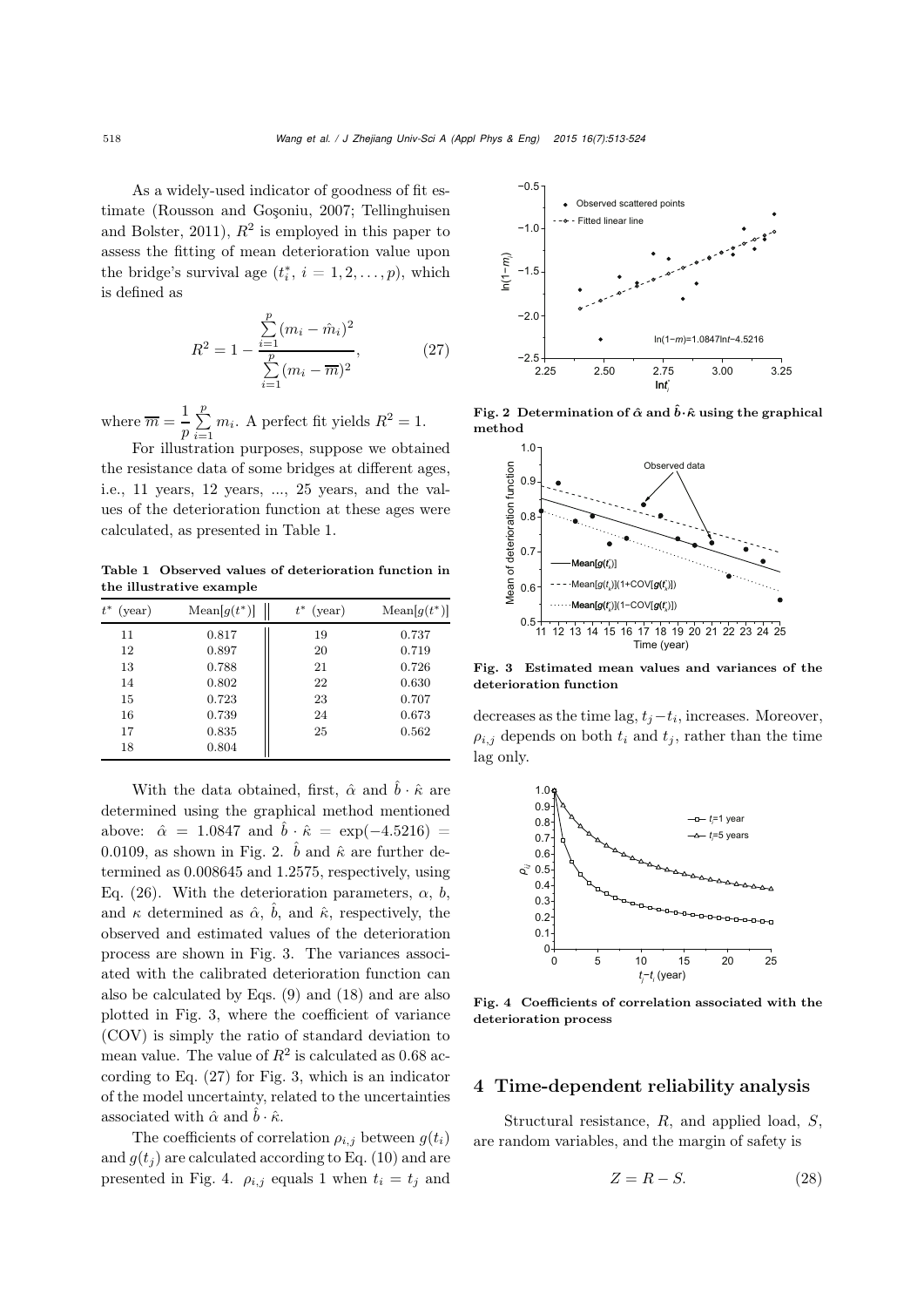As a widely-used indicator of goodness of fit estimate [\(Rousson and Goşoniu](#page-10-19)[,](#page-10-20) [2007](#page-10-19)[;](#page-10-20) Tellinghuisen and Bolster, [2011](#page-10-20)),  $R^2$  is employed in this paper to assess the fitting of mean deterioration value upon the bridge's survival age  $(t_i^*, i = 1, 2, \ldots, p)$ , which is defined as

<span id="page-5-3"></span>
$$
R^{2} = 1 - \frac{\sum_{i=1}^{p} (m_{i} - \hat{m}_{i})^{2}}{\sum_{i=1}^{p} (m_{i} - \overline{m})^{2}},
$$
 (27)

where  $\overline{m} = \frac{1}{p} \sum_{i=1}^{p}$  $\sum_{i=1}^{P} m_i$ . A perfect fit yields  $R^2 = 1$ .

For illustration purposes, suppose we obtained the resistance data of some bridges at different ages, i.e., 11 years, 12 years, ..., 25 years, and the values of the deterioration function at these ages were calculated, as presented in Table [1.](#page-5-0)

<span id="page-5-0"></span>Table 1 Observed values of deterioration function in the illustrative example

| $t^\ast$<br>(year) | $\text{Mean}[g(t^*)]$ | (year) | $\text{Mean}[g(t^*)]$ |
|--------------------|-----------------------|--------|-----------------------|
| 11                 | 0.817                 | 19     | 0.737                 |
| 12                 | 0.897                 | 20     | 0.719                 |
| 13                 | 0.788                 | 21     | 0.726                 |
| 14                 | 0.802                 | 22     | 0.630                 |
| 15                 | 0.723                 | 23     | 0.707                 |
| 16                 | 0.739                 | 24     | 0.673                 |
| 17                 | 0.835                 | 25     | 0.562                 |
| 18                 | 0.804                 |        |                       |

With the data obtained, first,  $\hat{\alpha}$  and  $\hat{b} \cdot \hat{\kappa}$  are determined using the graphical method mentioned above:  $\hat{\alpha} = 1.0847$  and  $\hat{b} \cdot \hat{\kappa} = \exp(-4.5216)$ 0.0109, as shown in Fig. [2.](#page-5-1)  $\hat{b}$  and  $\hat{\kappa}$  are further determined as 0.008645 and 1.2575, respectively, using Eq. [\(26\)](#page-4-6). With the deterioration parameters,  $\alpha$ , b, and  $\kappa$  determined as  $\hat{\alpha}$ ,  $\hat{b}$ , and  $\hat{\kappa}$ , respectively, the observed and estimated values of the deterioration process are shown in Fig. [3.](#page-5-2) The variances associated with the calibrated deterioration function can also be calculated by Eqs. [\(9\)](#page-3-2) and [\(18\)](#page-4-4) and are also plotted in Fig. [3,](#page-5-2) where the coefficient of variance (COV) is simply the ratio of standard deviation to mean value. The value of  $R^2$  is calculated as 0.68 according to Eq. [\(27\)](#page-5-3) for Fig. [3,](#page-5-2) which is an indicator of the model uncertainty, related to the uncertainties associated with  $\hat{\alpha}$  and  $\hat{b} \cdot \hat{\kappa}$ .

The coefficients of correlation  $\rho_{i,j}$  between  $g(t_i)$ and  $g(t_i)$  are calculated according to Eq. [\(10\)](#page-3-3) and are presented in Fig. [4.](#page-5-4)  $\rho_{i,j}$  equals 1 when  $t_i = t_j$  and



Fig. 2 Determination of  $\hat{\alpha}$  and  $\hat{b} \cdot \hat{\kappa}$  using the graphical method

<span id="page-5-1"></span>

<span id="page-5-2"></span>Fig. 3 Estimated mean values and variances of the deterioration function

decreases as the time lag,  $t_j-t_i$ , increases. Moreover,  $\rho_{i,j}$  depends on both  $t_i$  and  $t_j$ , rather than the time lag only.



<span id="page-5-4"></span>Fig. 4 Coefficients of correlation associated with the deterioration process

# <span id="page-5-5"></span>4 Time-dependent reliability analysis

Structural resistance, R, and applied load, S, are random variables, and the margin of safety is

$$
Z = R - S.\t\t(28)
$$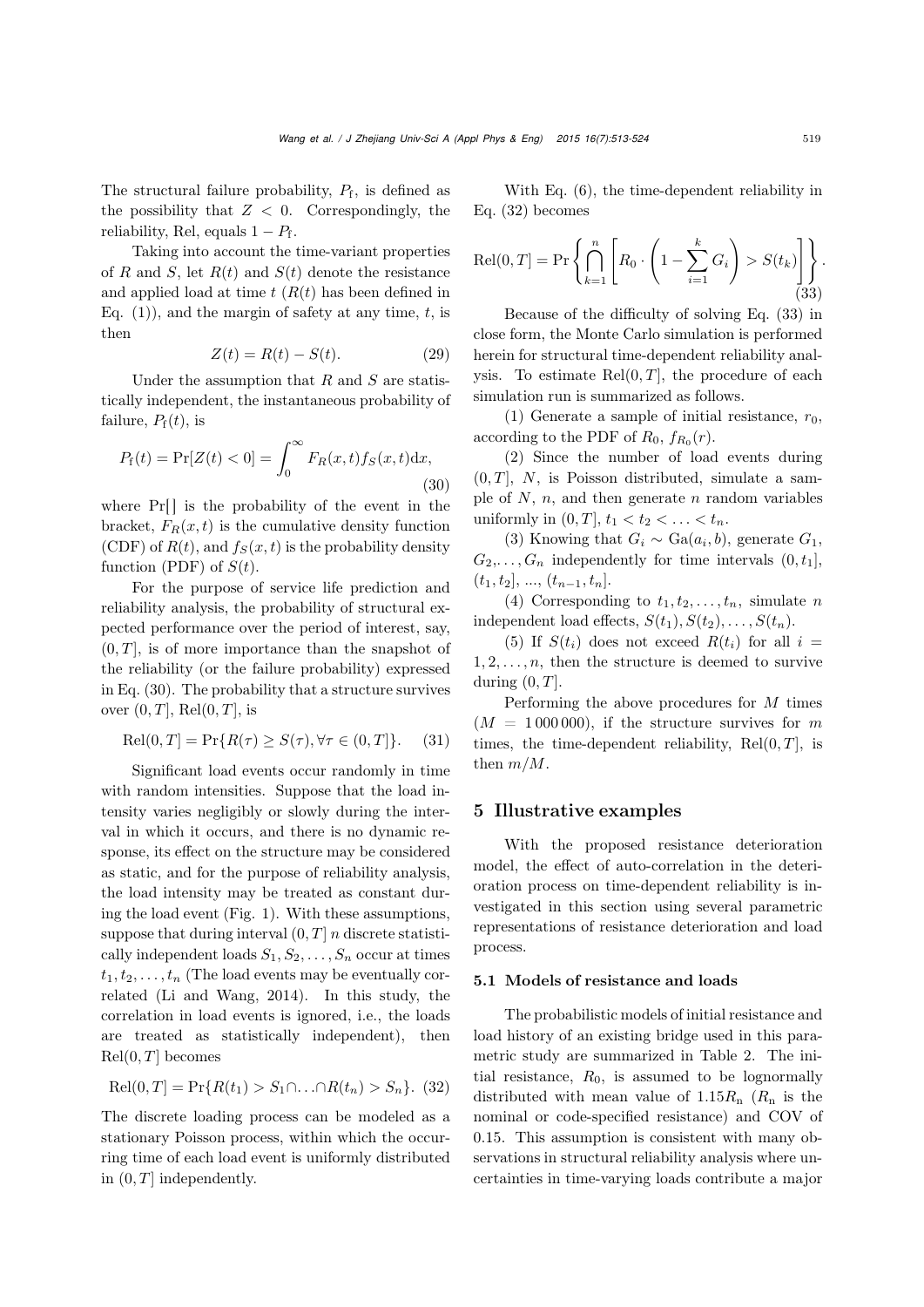The structural failure probability,  $P_f$ , is defined as the possibility that  $Z < 0$ . Correspondingly, the reliability, Rel, equals  $1 - P_f$ .

Taking into account the time-variant properties of R and S, let  $R(t)$  and  $S(t)$  denote the resistance and applied load at time  $t$   $(R(t)$  has been defined in Eq.  $(1)$ , and the margin of safety at any time, t, is then

$$
Z(t) = R(t) - S(t). \tag{29}
$$

Under the assumption that  $R$  and  $S$  are statistically independent, the instantaneous probability of failure,  $P_f(t)$ , is

<span id="page-6-1"></span>
$$
P_{\rm f}(t) = \Pr[Z(t) < 0] = \int_0^\infty F_R(x, t) f_S(x, t) \, dx,\tag{30}
$$

where  $Pr[$  is the probability of the event in the bracket,  $F_R(x, t)$  is the cumulative density function (CDF) of  $R(t)$ , and  $f_S(x, t)$  is the probability density function (PDF) of  $S(t)$ .

For the purpose of service life prediction and reliability analysis, the probability of structural expected performance over the period of interest, say,  $(0, T]$ , is of more importance than the snapshot of the reliability (or the failure probability) expressed in Eq. [\(30\)](#page-6-1). The probability that a structure survives over  $(0, T]$ , Rel $(0, T]$ , is

$$
\text{Rel}(0, T] = \Pr\{R(\tau) \ge S(\tau), \forall \tau \in (0, T]\}. \tag{31}
$$

Significant load events occur randomly in time with random intensities. Suppose that the load intensity varies negligibly or slowly during the interval in which it occurs, and there is no dynamic response, its effect on the structure may be considered as static, and for the purpose of reliability analysis, the load intensity may be treated as constant during the load event (Fig. 1). With these assumptions, suppose that during interval  $(0, T]$  *n* discrete statistically independent loads  $S_1, S_2, \ldots, S_n$  occur at times  $t_1, t_2, \ldots, t_n$  (The load events may be eventually correlated [\(Li and Wang](#page-10-21), [2014](#page-10-21)). In this study, the correlation in load events is ignored, i.e., the loads are treated as statistically independent), then  $Rel(0, T]$  becomes

<span id="page-6-2"></span>
$$
Rel(0, T] = Pr{R(t1) > S1 \cap ... \cap R(tn) > Sn}. (32)
$$

The discrete loading process can be modeled as a stationary Poisson process, within which the occurring time of each load event is uniformly distributed in  $(0, T]$  independently.

With Eq. [\(6\)](#page-2-3), the time-dependent reliability in Eq. [\(32\)](#page-6-2) becomes

<span id="page-6-3"></span>
$$
\text{Rel}(0, T] = \Pr\left\{\bigcap_{k=1}^{n} \left[R_0 \cdot \left(1 - \sum_{i=1}^{k} G_i\right) > S(t_k)\right]\right\}.
$$
\n
$$
(33)
$$

Because of the difficulty of solving Eq. [\(33\)](#page-6-3) in close form, the Monte Carlo simulation is performed herein for structural time-dependent reliability analysis. To estimate  $Rel(0, T]$ , the procedure of each simulation run is summarized as follows.

(1) Generate a sample of initial resistance,  $r_0$ , according to the PDF of  $R_0$ ,  $f_{R_0}(r)$ .

(2) Since the number of load events during  $(0, T]$ , N, is Poisson distributed, simulate a sample of  $N$ ,  $n$ , and then generate  $n$  random variables uniformly in  $(0, T]$ ,  $t_1 < t_2 < ... < t_n$ .

(3) Knowing that  $G_i \sim \text{Ga}(a_i, b)$ , generate  $G_1$ ,  $G_2,\ldots,G_n$  independently for time intervals  $(0,t_1]$ ,  $(t_1, t_2], ..., (t_{n-1}, t_n].$ 

(4) Corresponding to  $t_1, t_2, \ldots, t_n$ , simulate n independent load effects,  $S(t_1), S(t_2), \ldots, S(t_n)$ .

(5) If  $S(t_i)$  does not exceed  $R(t_i)$  for all  $i =$  $1, 2, \ldots, n$ , then the structure is deemed to survive during  $(0, T]$ .

Performing the above procedures for M times  $(M = 1000000)$ , if the structure survives for m times, the time-dependent reliability,  $Rel(0, T]$ , is then  $m/M$ .

#### <span id="page-6-0"></span>5 Illustrative examples

With the proposed resistance deterioration model, the effect of auto-correlation in the deterioration process on time-dependent reliability is investigated in this section using several parametric representations of resistance deterioration and load process.

#### 5.1 Models of resistance and loads

The probabilistic models of initial resistance and load history of an existing bridge used in this parametric study are summarized in Table [2.](#page-7-0) The initial resistance,  $R_0$ , is assumed to be lognormally distributed with mean value of  $1.15R_n$  ( $R_n$  is the nominal or code-specified resistance) and COV of 0.15. This assumption is consistent with many observations in structural reliability analysis where uncertainties in time-varying loads contribute a major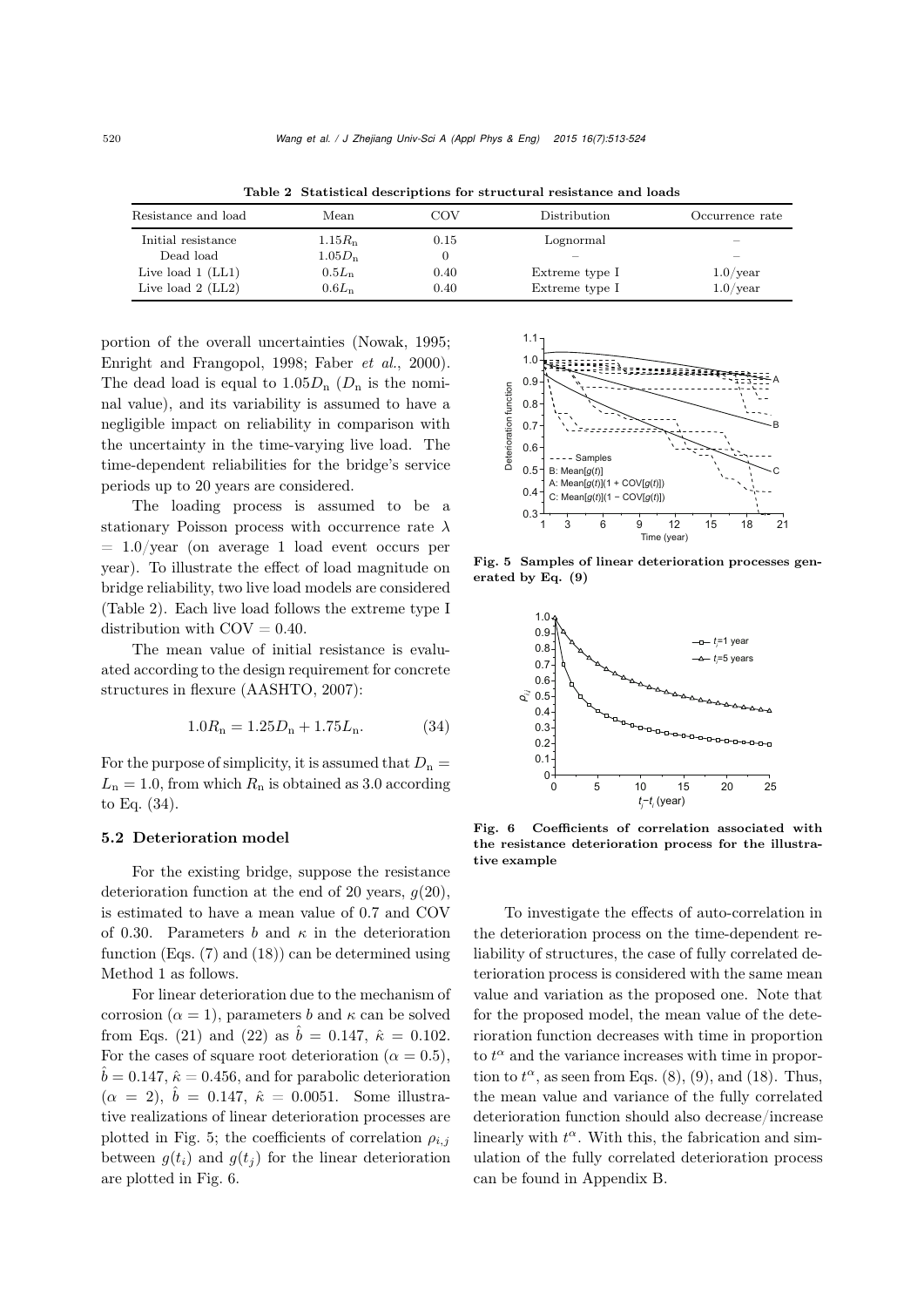| Resistance and load | Mean            | COV  | Distribution   | Occurrence rate |
|---------------------|-----------------|------|----------------|-----------------|
| Initial resistance  | $1.15R_{\rm n}$ | 0.15 | Lognormal      |                 |
| Dead load           | $1.05D_n$       |      |                |                 |
| Live load $1$ (LL1) | $0.5L_n$        | 0.40 | Extreme type I | $1.0$ /year     |
| Live load $2$ (LL2) | $0.6L_n$        | 0.40 | Extreme type I | $1.0$ /year     |

<span id="page-7-0"></span>Table 2 Statistical descriptions for structural resistance and loads

portion of the overall uncertainties [\(Nowak](#page-10-22), [1995;](#page-10-22) [Enright and Frangopol, 1998](#page-10-5); [Faber](#page-10-23) *et al.*, [2000\)](#page-10-23). The dead load is equal to  $1.05D_n$  ( $D_n$  is the nominal value), and its variability is assumed to have a negligible impact on reliability in comparison with the uncertainty in the time-varying live load. The time-dependent reliabilities for the bridge's service periods up to 20 years are considered.

The loading process is assumed to be a stationary Poisson process with occurrence rate  $\lambda$  $= 1.0$ /year (on average 1 load event occurs per year). To illustrate the effect of load magnitude on bridge reliability, two live load models are considered (Table [2\)](#page-7-0). Each live load follows the extreme type I distribution with  $\text{COV} = 0.40$ .

The mean value of initial resistance is evaluated according to the design requirement for concrete structures in flexure [\(AASHTO, 2007\)](#page-9-4):

<span id="page-7-1"></span>
$$
1.0R_n = 1.25D_n + 1.75L_n.
$$
 (34)

For the purpose of simplicity, it is assumed that  $D_n =$  $L_n = 1.0$ , from which  $R_n$  is obtained as 3.0 according to Eq. [\(34\)](#page-7-1).

#### 5.2 Deterioration model

For the existing bridge, suppose the resistance deterioration function at the end of 20 years,  $q(20)$ , is estimated to have a mean value of 0.7 and COV of 0.30. Parameters b and  $\kappa$  in the deterioration function (Eqs. [\(7\)](#page-2-4) and [\(18\)](#page-4-4)) can be determined using Method 1 as follows.

For linear deterioration due to the mechanism of corrosion ( $\alpha = 1$ ), parameters b and  $\kappa$  can be solved from Eqs. [\(21\)](#page-4-7) and [\(22\)](#page-4-8) as  $\hat{b} = 0.147$ ,  $\hat{\kappa} = 0.102$ . For the cases of square root deterioration ( $\alpha = 0.5$ ),  $\hat{b} = 0.147$ ,  $\hat{\kappa} = 0.456$ , and for parabolic deterioration  $(\alpha = 2), \hat{b} = 0.147, \hat{\kappa} = 0.0051.$  Some illustrative realizations of linear deterioration processes are plotted in Fig. [5;](#page-7-2) the coefficients of correlation  $\rho_{i,j}$ between  $q(t_i)$  and  $q(t_i)$  for the linear deterioration are plotted in Fig. [6.](#page-7-3)



Fig. 5 Samples of linear deterioration processes generated by Eq. [\(9\)](#page-3-2)

<span id="page-7-2"></span>

<span id="page-7-3"></span>Fig. 6 Coefficients of correlation associated with the resistance deterioration process for the illustrative example

To investigate the effects of auto-correlation in the deterioration process on the time-dependent reliability of structures, the case of fully correlated deterioration process is considered with the same mean value and variation as the proposed one. Note that for the proposed model, the mean value of the deterioration function decreases with time in proportion to  $t^{\alpha}$  and the variance increases with time in proportion to  $t^{\alpha}$ , as seen from Eqs. [\(8\)](#page-3-1), [\(9\)](#page-3-2), and [\(18\)](#page-4-4). Thus, the mean value and variance of the fully correlated deterioration function should also decrease/increase linearly with  $t^{\alpha}$ . With this, the fabrication and simulation of the fully correlated deterioration process can be found in [Appendix B.](#page-11-1)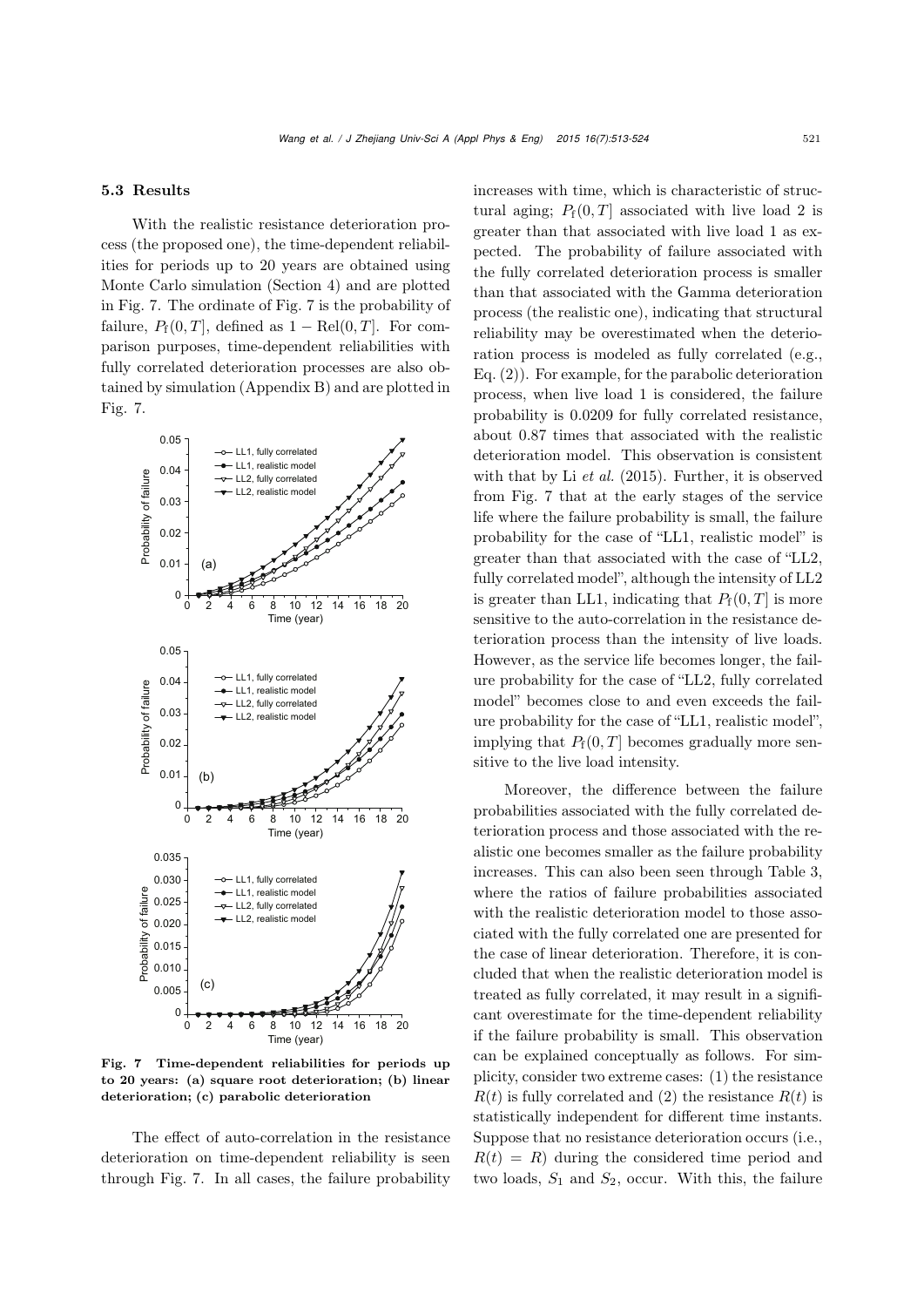#### 5.3 Results

With the realistic resistance deterioration process (the proposed one), the time-dependent reliabilities for periods up to 20 years are obtained using Monte Carlo simulation (Section [4\)](#page-5-5) and are plotted in Fig. [7.](#page-8-0) The ordinate of Fig. [7](#page-8-0) is the probability of failure,  $P_f(0,T]$ , defined as  $1 - \text{Rel}(0,T]$ . For comparison purposes, time-dependent reliabilities with fully correlated deterioration processes are also obtained by simulation [\(Appendix B\)](#page-11-1) and are plotted in Fig. [7.](#page-8-0)



<span id="page-8-0"></span>Fig. 7 Time-dependent reliabilities for periods up to 20 years: (a) square root deterioration; (b) linear deterioration; (c) parabolic deterioration

The effect of auto-correlation in the resistance deterioration on time-dependent reliability is seen through Fig. [7.](#page-8-0) In all cases, the failure probability increases with time, which is characteristic of structural aging;  $P_f(0,T]$  associated with live load 2 is greater than that associated with live load 1 as expected. The probability of failure associated with the fully correlated deterioration process is smaller than that associated with the Gamma deterioration process (the realistic one), indicating that structural reliability may be overestimated when the deterioration process is modeled as fully correlated (e.g., Eq. [\(2\)](#page-1-0)). For example, for the parabolic deterioration process, when live load 1 is considered, the failure probability is 0.0209 for fully correlated resistance, about 0.87 times that associated with the realistic deterioration model. This observation is consistent with that by Li *[et al.](#page-10-2)* [\(2015](#page-10-2)). Further, it is observed from Fig. [7](#page-8-0) that at the early stages of the service life where the failure probability is small, the failure probability for the case of "LL1, realistic model" is greater than that associated with the case of "LL2, fully correlated model", although the intensity of LL2 is greater than LL1, indicating that  $P_f(0,T]$  is more sensitive to the auto-correlation in the resistance deterioration process than the intensity of live loads. However, as the service life becomes longer, the failure probability for the case of "LL2, fully correlated model" becomes close to and even exceeds the failure probability for the case of "LL1, realistic model", implying that  $P_f(0,T]$  becomes gradually more sensitive to the live load intensity.

Moreover, the difference between the failure probabilities associated with the fully correlated deterioration process and those associated with the realistic one becomes smaller as the failure probability increases. This can also been seen through Table [3,](#page-9-5) where the ratios of failure probabilities associated with the realistic deterioration model to those associated with the fully correlated one are presented for the case of linear deterioration. Therefore, it is concluded that when the realistic deterioration model is treated as fully correlated, it may result in a significant overestimate for the time-dependent reliability if the failure probability is small. This observation can be explained conceptually as follows. For simplicity, consider two extreme cases: (1) the resistance  $R(t)$  is fully correlated and (2) the resistance  $R(t)$  is statistically independent for different time instants. Suppose that no resistance deterioration occurs (i.e.,  $R(t) = R$ ) during the considered time period and two loads,  $S_1$  and  $S_2$ , occur. With this, the failure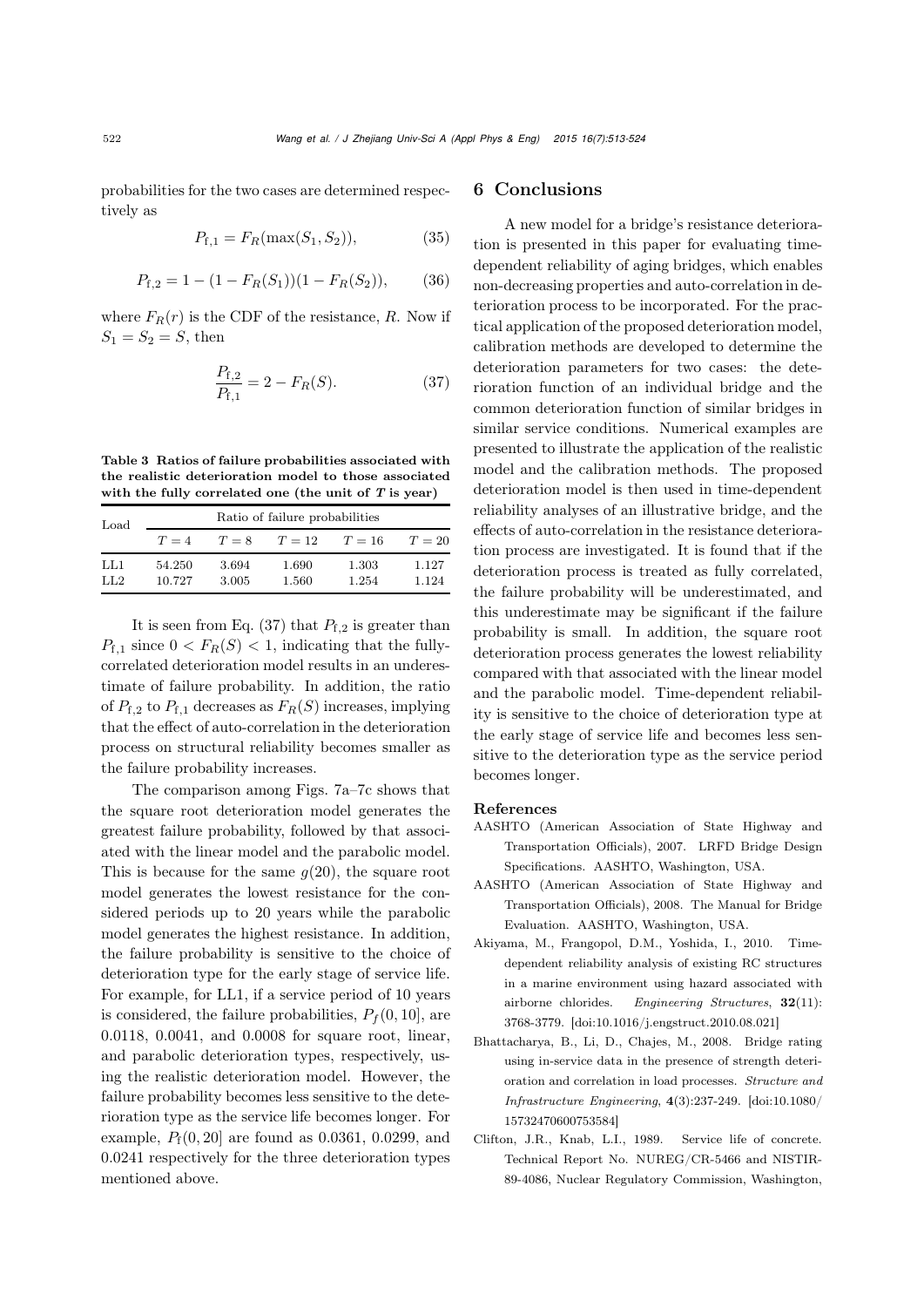probabilities for the two cases are determined respectively as

$$
P_{\mathbf{f},1} = F_R(\max(S_1, S_2)),\tag{35}
$$

$$
P_{\text{f},2} = 1 - (1 - F_R(S_1))(1 - F_R(S_2)),\tag{36}
$$

where  $F_R(r)$  is the CDF of the resistance, R. Now if  $S_1 = S_2 = S$ , then

<span id="page-9-6"></span>
$$
\frac{P_{\text{f},2}}{P_{\text{f},1}} = 2 - F_R(S). \tag{37}
$$

<span id="page-9-5"></span>Table 3 Ratios of failure probabilities associated with the realistic deterioration model to those associated with the fully correlated one (the unit of *T* is year)

| Load | Ratio of failure probabilities |         |        |          |        |  |
|------|--------------------------------|---------|--------|----------|--------|--|
|      | $T=4$                          | $T = 8$ | $T=12$ | $T = 16$ | $T=20$ |  |
| LL1  | 54.250                         | 3.694   | 1.690  | 1.303    | 1.127  |  |
| LL2  | 10.727                         | 3.005   | 1.560  | 1.254    | 1.124  |  |

It is seen from Eq. [\(37\)](#page-9-6) that  $P_{f,2}$  is greater than  $P_{f,1}$  since  $0 < F_R(S) < 1$ , indicating that the fullycorrelated deterioration model results in an underestimate of failure probability. In addition, the ratio of  $P_{f,2}$  to  $P_{f,1}$  decreases as  $F_R(S)$  increases, implying that the effect of auto-correlation in the deterioration process on structural reliability becomes smaller as the failure probability increases.

The comparison among Figs. [7a–7c](#page-8-0) shows that the square root deterioration model generates the greatest failure probability, followed by that associated with the linear model and the parabolic model. This is because for the same  $g(20)$ , the square root model generates the lowest resistance for the considered periods up to 20 years while the parabolic model generates the highest resistance. In addition, the failure probability is sensitive to the choice of deterioration type for the early stage of service life. For example, for LL1, if a service period of 10 years is considered, the failure probabilities,  $P_f(0, 10]$ , are 0.0118, 0.0041, and 0.0008 for square root, linear, and parabolic deterioration types, respectively, using the realistic deterioration model. However, the failure probability becomes less sensitive to the deterioration type as the service life becomes longer. For example,  $P_{f}(0, 20)$  are found as 0.0361, 0.0299, and 0.0241 respectively for the three deterioration types mentioned above.

# 6 Conclusions

A new model for a bridge's resistance deterioration is presented in this paper for evaluating timedependent reliability of aging bridges, which enables non-decreasing properties and auto-correlation in deterioration process to be incorporated. For the practical application of the proposed deterioration model, calibration methods are developed to determine the deterioration parameters for two cases: the deterioration function of an individual bridge and the common deterioration function of similar bridges in similar service conditions. Numerical examples are presented to illustrate the application of the realistic model and the calibration methods. The proposed deterioration model is then used in time-dependent reliability analyses of an illustrative bridge, and the effects of auto-correlation in the resistance deterioration process are investigated. It is found that if the deterioration process is treated as fully correlated, the failure probability will be underestimated, and this underestimate may be significant if the failure probability is small. In addition, the square root deterioration process generates the lowest reliability compared with that associated with the linear model and the parabolic model. Time-dependent reliability is sensitive to the choice of deterioration type at the early stage of service life and becomes less sensitive to the deterioration type as the service period becomes longer.

#### References

- <span id="page-9-4"></span>AASHTO (American Association of State Highway and Transportation Officials), 2007. LRFD Bridge Design Specifications. AASHTO, Washington, USA.
- <span id="page-9-3"></span>AASHTO (American Association of State Highway and Transportation Officials), 2008. The Manual for Bridge Evaluation. AASHTO, Washington, USA.
- <span id="page-9-0"></span>Akiyama, M., Frangopol, D.M., Yoshida, I., 2010. Timedependent reliability analysis of existing RC structures in a marine environment using hazard associated with airborne chlorides. *Engineering Structures*, 32(11): 3768-3779. [\[doi:10.1016/j.engstruct.2010.08.021\]](http://dx.doi.org/10.1016/j.engstruct.2010.08.021)
- <span id="page-9-2"></span>Bhattacharya, B., Li, D., Chajes, M., 2008. Bridge rating using in-service data in the presence of strength deterioration and correlation in load processes. *Structure and Infrastructure Engineering*, 4(3):237-249. [\[doi:10.1080/](http://dx.doi.org/10.1080/15732470600753584) [15732470600753584\]](http://dx.doi.org/10.1080/15732470600753584)
- <span id="page-9-1"></span>Clifton, J.R., Knab, L.I., 1989. Service life of concrete. Technical Report No. NUREG/CR-5466 and NISTIR-89-4086, Nuclear Regulatory Commission, Washington,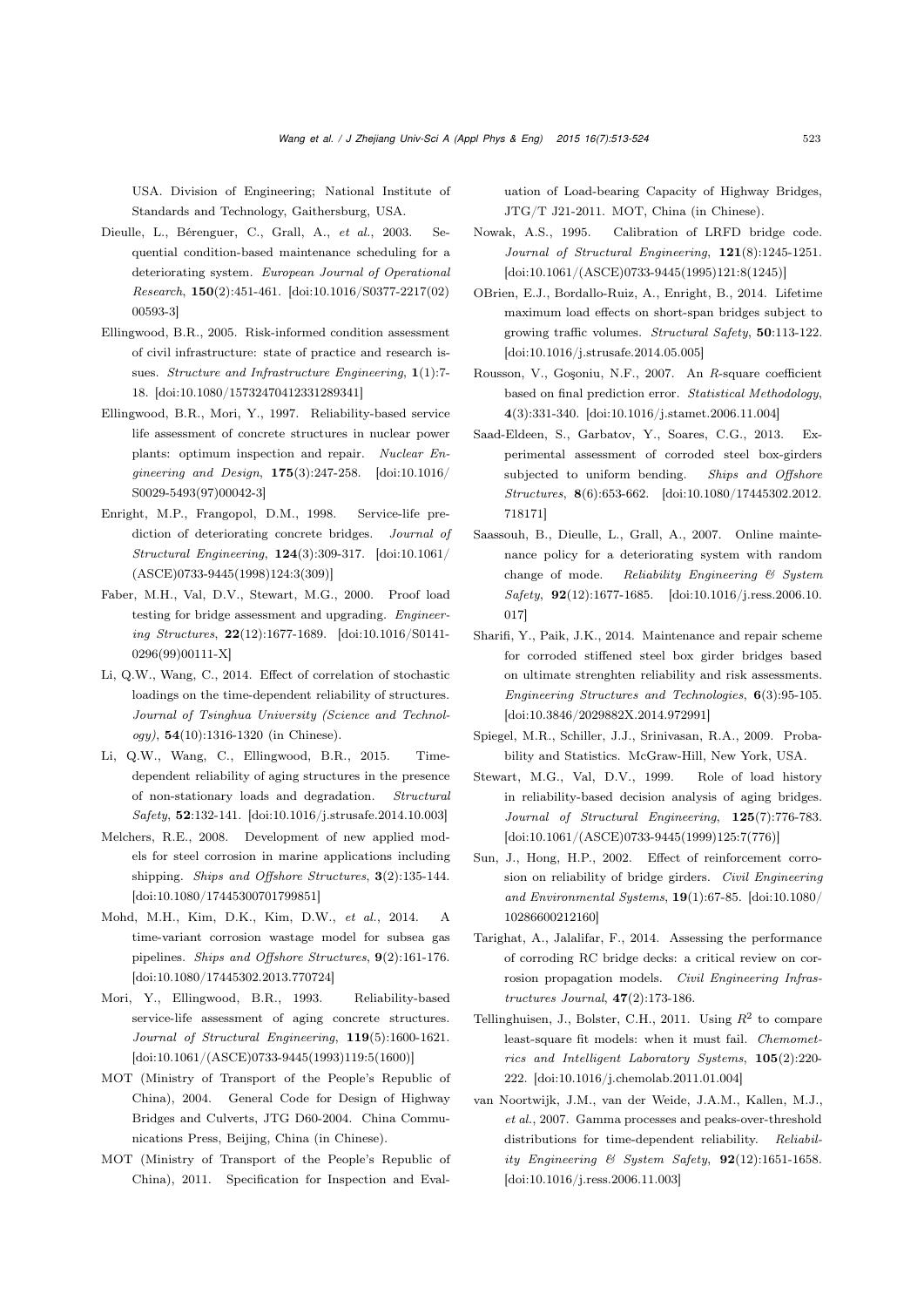USA. Division of Engineering; National Institute of Standards and Technology, Gaithersburg, USA.

- <span id="page-10-13"></span>Dieulle, L., Bérenguer, C., Grall, A., *et al.*, 2003. Sequential condition-based maintenance scheduling for a deteriorating system. *European Journal of Operational Research*, 150(2):451-461. [\[doi:10.1016/S0377-2217\(02\)](http://dx.doi.org/10.1016/S0377-2217(02)00593-3) [00593-3\]](http://dx.doi.org/10.1016/S0377-2217(02)00593-3)
- <span id="page-10-6"></span>Ellingwood, B.R., 2005. Risk-informed condition assessment of civil infrastructure: state of practice and research issues. *Structure and Infrastructure Engineering*, 1(1):7- 18. [\[doi:10.1080/15732470412331289341\]](http://dx.doi.org/10.1080/15732470412331289341)
- <span id="page-10-4"></span>Ellingwood, B.R., Mori, Y., 1997. Reliability-based service life assessment of concrete structures in nuclear power plants: optimum inspection and repair. *Nuclear Engineering and Design*, 175(3):247-258. [\[doi:10.1016/](http://dx.doi.org/10.1016/S0029-5493(97)00042-3) [S0029-5493\(97\)00042-3\]](http://dx.doi.org/10.1016/S0029-5493(97)00042-3)
- <span id="page-10-5"></span>Enright, M.P., Frangopol, D.M., 1998. Service-life prediction of deteriorating concrete bridges. *Journal of Structural Engineering*, 124(3):309-317. [\[doi:10.1061/](http://dx.doi.org/10.1061/(ASCE)0733-9445(1998)124:3(309)) [\(ASCE\)0733-9445\(1998\)124:3\(309\)\]](http://dx.doi.org/10.1061/(ASCE)0733-9445(1998)124:3(309))
- <span id="page-10-23"></span>Faber, M.H., Val, D.V., Stewart, M.G., 2000. Proof load testing for bridge assessment and upgrading. *Engineering Structures*, 22(12):1677-1689. [\[doi:10.1016/S0141-](http://dx.doi.org/10.1016/S0141-0296(99)00111-X) [0296\(99\)00111-X\]](http://dx.doi.org/10.1016/S0141-0296(99)00111-X)
- <span id="page-10-21"></span>Li, Q.W., Wang, C., 2014. Effect of correlation of stochastic loadings on the time-dependent reliability of structures. *Journal of Tsinghua University (Science and Technology)*, 54(10):1316-1320 (in Chinese).
- <span id="page-10-2"></span>Li, Q.W., Wang, C., Ellingwood, B.R., 2015. Timedependent reliability of aging structures in the presence of non-stationary loads and degradation. *Structural Safety*, 52:132-141. [\[doi:10.1016/j.strusafe.2014.10.003\]](http://dx.doi.org/10.1016/j.strusafe.2014.10.003)
- <span id="page-10-10"></span>Melchers, R.E., 2008. Development of new applied models for steel corrosion in marine applications including shipping. *Ships and Offshore Structures*, 3(2):135-144. [\[doi:10.1080/17445300701799851\]](http://dx.doi.org/10.1080/17445300701799851)
- <span id="page-10-8"></span>Mohd, M.H., Kim, D.K., Kim, D.W., *et al.*, 2014. A time-variant corrosion wastage model for subsea gas pipelines. *Ships and Offshore Structures*, 9(2):161-176. [\[doi:10.1080/17445302.2013.770724\]](http://dx.doi.org/10.1080/17445302.2013.770724)
- <span id="page-10-0"></span>Mori, Y., Ellingwood, B.R., 1993. Reliability-based service-life assessment of aging concrete structures. *Journal of Structural Engineering*, 119(5):1600-1621. [\[doi:10.1061/\(ASCE\)0733-9445\(1993\)119:5\(1600\)\]](http://dx.doi.org/10.1061/(ASCE)0733-9445(1993)119:5(1600))
- <span id="page-10-17"></span>MOT (Ministry of Transport of the People's Republic of China), 2004. General Code for Design of Highway Bridges and Culverts, JTG D60-2004. China Communications Press, Beijing, China (in Chinese).
- <span id="page-10-16"></span>MOT (Ministry of Transport of the People's Republic of China), 2011. Specification for Inspection and Eval-

uation of Load-bearing Capacity of Highway Bridges, JTG/T J21-2011. MOT, China (in Chinese).

- <span id="page-10-22"></span>Nowak, A.S., 1995. Calibration of LRFD bridge code. *Journal of Structural Engineering*, 121(8):1245-1251. [\[doi:10.1061/\(ASCE\)0733-9445\(1995\)121:8\(1245\)\]](http://dx.doi.org/10.1061/(ASCE)0733-9445(1995)121:8(1245))
- <span id="page-10-1"></span>OBrien, E.J., Bordallo-Ruiz, A., Enright, B., 2014. Lifetime maximum load effects on short-span bridges subject to growing traffic volumes. *Structural Safety*, 50:113-122. [\[doi:10.1016/j.strusafe.2014.05.005\]](http://dx.doi.org/10.1016/j.strusafe.2014.05.005)
- <span id="page-10-19"></span>Rousson, V., Goşoniu, N.F., 2007. An *R*-square coefficient based on final prediction error. *Statistical Methodology*, 4(3):331-340. [\[doi:10.1016/j.stamet.2006.11.004\]](http://dx.doi.org/10.1016/j.stamet.2006.11.004)
- <span id="page-10-11"></span>Saad-Eldeen, S., Garbatov, Y., Soares, C.G., 2013. Experimental assessment of corroded steel box-girders subjected to uniform bending. *Ships and Offshore Structures*, 8(6):653-662. [\[doi:10.1080/17445302.2012.](http://dx.doi.org/10.1080/17445302.2012.718171) [718171\]](http://dx.doi.org/10.1080/17445302.2012.718171)
- <span id="page-10-14"></span>Saassouh, B., Dieulle, L., Grall, A., 2007. Online maintenance policy for a deteriorating system with random change of mode. *Reliability Engineering & System Safety*, 92(12):1677-1685. [\[doi:10.1016/j.ress.2006.10.](http://dx.doi.org/10.1016/j.ress.2006.10.017) [017\]](http://dx.doi.org/10.1016/j.ress.2006.10.017)
- <span id="page-10-9"></span>Sharifi, Y., Paik, J.K., 2014. Maintenance and repair scheme for corroded stiffened steel box girder bridges based on ultimate strenghten reliability and risk assessments. *Engineering Structures and Technologies*, 6(3):95-105. [\[doi:10.3846/2029882X.2014.972991\]](http://dx.doi.org/10.3846/2029882X.2014.972991)
- <span id="page-10-18"></span>Spiegel, M.R., Schiller, J.J., Srinivasan, R.A., 2009. Probability and Statistics. McGraw-Hill, New York, USA.
- <span id="page-10-3"></span>Stewart, M.G., Val, D.V., 1999. Role of load history in reliability-based decision analysis of aging bridges. *Journal of Structural Engineering*, 125(7):776-783. [\[doi:10.1061/\(ASCE\)0733-9445\(1999\)125:7\(776\)\]](http://dx.doi.org/10.1061/(ASCE)0733-9445(1999)125:7(776))
- <span id="page-10-7"></span>Sun, J., Hong, H.P., 2002. Effect of reinforcement corrosion on reliability of bridge girders. *Civil Engineering and Environmental Systems*, 19(1):67-85. [\[doi:10.1080/](http://dx.doi.org/10.1080/10286600212160) [10286600212160\]](http://dx.doi.org/10.1080/10286600212160)
- <span id="page-10-12"></span>Tarighat, A., Jalalifar, F., 2014. Assessing the performance of corroding RC bridge decks: a critical review on corrosion propagation models. *Civil Engineering Infrastructures Journal*, 47(2):173-186.
- <span id="page-10-20"></span>Tellinghuisen, J., Bolster, C.H., 2011. Using  $R^2$  to compare least-square fit models: when it must fail. *Chemometrics and Intelligent Laboratory Systems*, 105(2):220- 222. [\[doi:10.1016/j.chemolab.2011.01.004\]](http://dx.doi.org/10.1016/j.chemolab.2011.01.004)
- <span id="page-10-15"></span>van Noortwijk, J.M., van der Weide, J.A.M., Kallen, M.J., *et al.*, 2007. Gamma processes and peaks-over-threshold distributions for time-dependent reliability. *Reliability Engineering & System Safety*, 92(12):1651-1658. [\[doi:10.1016/j.ress.2006.11.003\]](http://dx.doi.org/10.1016/j.ress.2006.11.003)